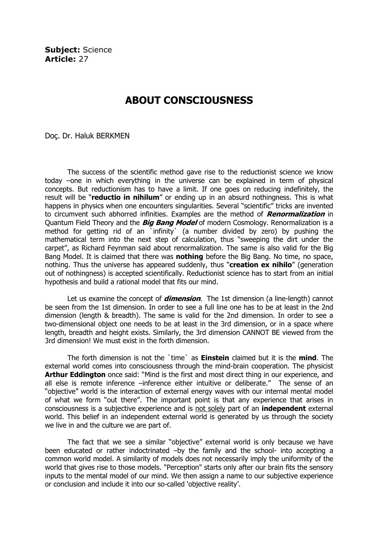Subject: Science Article: 27

## ABOUT CONSCIOUSNESS

Doç. Dr. Haluk BERKMEN

The success of the scientific method gave rise to the reductionist science we know today –one in which everything in the universe can be explained in term of physical concepts. But reductionism has to have a limit. If one goes on reducing indefinitely, the result will be "reductio in nihilum" or ending up in an absurd nothingness. This is what happens in physics when one encounters singularities. Several "scientific" tricks are invented to circumvent such abhorred infinities. Examples are the method of **Renormalization** in Quantum Field Theory and the *Big Bang Model* of modern Cosmology. Renormalization is a method for getting rid of an `infinity` (a number divided by zero) by pushing the mathematical term into the next step of calculation, thus "sweeping the dirt under the carpet", as Richard Feynman said about renormalization. The same is also valid for the Big Bang Model. It is claimed that there was **nothing** before the Big Bang. No time, no space, nothing. Thus the universe has appeared suddenly, thus "creation ex nihilo" (generation out of nothingness) is accepted scientifically. Reductionist science has to start from an initial hypothesis and build a rational model that fits our mind.

Let us examine the concept of *dimension*. The 1st dimension (a line-length) cannot be seen from the 1st dimension. In order to see a full line one has to be at least in the 2nd dimension (length & breadth). The same is valid for the 2nd dimension. In order to see a two-dimensional object one needs to be at least in the 3rd dimension, or in a space where length, breadth and height exists. Similarly, the 3rd dimension CANNOT BE viewed from the 3rd dimension! We must exist in the forth dimension.

The forth dimension is not the 'time' as **Einstein** claimed but it is the **mind**. The external world comes into consciousness through the mind-brain cooperation. The physicist Arthur Eddington once said: "Mind is the first and most direct thing in our experience, and all else is remote inference –inference either intuitive or deliberate." The sense of an "objective" world is the interaction of external energy waves with our internal mental model of what we form "out there". The important point is that any experience that arises in consciousness is a subjective experience and is not solely part of an independent external world. This belief in an independent external world is generated by us through the society we live in and the culture we are part of.

The fact that we see a similar "objective" external world is only because we have been educated or rather indoctrinated –by the family and the school- into accepting a common world model. A similarity of models does not necessarily imply the uniformity of the world that gives rise to those models. "Perception" starts only after our brain fits the sensory inputs to the mental model of our mind. We then assign a name to our subjective experience or conclusion and include it into our so-called 'objective reality'.